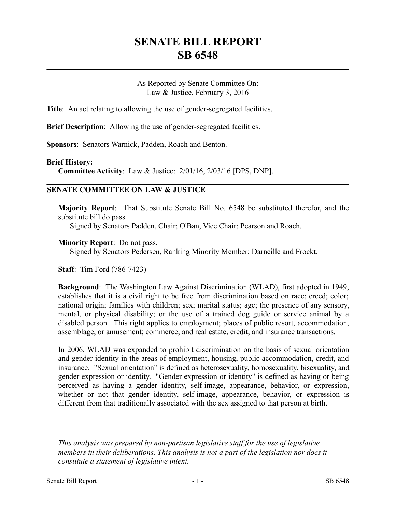# **SENATE BILL REPORT SB 6548**

As Reported by Senate Committee On: Law & Justice, February 3, 2016

**Title**: An act relating to allowing the use of gender-segregated facilities.

**Brief Description**: Allowing the use of gender-segregated facilities.

**Sponsors**: Senators Warnick, Padden, Roach and Benton.

## **Brief History:**

**Committee Activity**: Law & Justice: 2/01/16, 2/03/16 [DPS, DNP].

## **SENATE COMMITTEE ON LAW & JUSTICE**

**Majority Report**: That Substitute Senate Bill No. 6548 be substituted therefor, and the substitute bill do pass.

Signed by Senators Padden, Chair; O'Ban, Vice Chair; Pearson and Roach.

#### **Minority Report**: Do not pass.

Signed by Senators Pedersen, Ranking Minority Member; Darneille and Frockt.

**Staff**: Tim Ford (786-7423)

**Background**: The Washington Law Against Discrimination (WLAD), first adopted in 1949, establishes that it is a civil right to be free from discrimination based on race; creed; color; national origin; families with children; sex; marital status; age; the presence of any sensory, mental, or physical disability; or the use of a trained dog guide or service animal by a disabled person. This right applies to employment; places of public resort, accommodation, assemblage, or amusement; commerce; and real estate, credit, and insurance transactions.

In 2006, WLAD was expanded to prohibit discrimination on the basis of sexual orientation and gender identity in the areas of employment, housing, public accommodation, credit, and insurance. "Sexual orientation" is defined as heterosexuality, homosexuality, bisexuality, and gender expression or identity. "Gender expression or identity" is defined as having or being perceived as having a gender identity, self-image, appearance, behavior, or expression, whether or not that gender identity, self-image, appearance, behavior, or expression is different from that traditionally associated with the sex assigned to that person at birth.

––––––––––––––––––––––

*This analysis was prepared by non-partisan legislative staff for the use of legislative members in their deliberations. This analysis is not a part of the legislation nor does it constitute a statement of legislative intent.*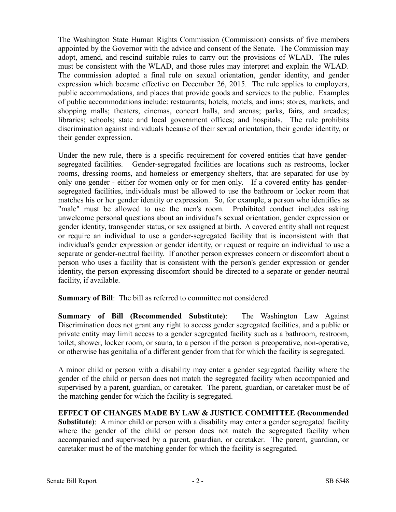The Washington State Human Rights Commission (Commission) consists of five members appointed by the Governor with the advice and consent of the Senate. The Commission may adopt, amend, and rescind suitable rules to carry out the provisions of WLAD. The rules must be consistent with the WLAD, and those rules may interpret and explain the WLAD. The commission adopted a final rule on sexual orientation, gender identity, and gender expression which became effective on December 26, 2015. The rule applies to employers, public accommodations, and places that provide goods and services to the public. Examples of public accommodations include: restaurants; hotels, motels, and inns; stores, markets, and shopping malls; theaters, cinemas, concert halls, and arenas; parks, fairs, and arcades; libraries; schools; state and local government offices; and hospitals. The rule prohibits discrimination against individuals because of their sexual orientation, their gender identity, or their gender expression.

Under the new rule, there is a specific requirement for covered entities that have gendersegregated facilities. Gender-segregated facilities are locations such as restrooms, locker rooms, dressing rooms, and homeless or emergency shelters, that are separated for use by only one gender - either for women only or for men only. If a covered entity has gendersegregated facilities, individuals must be allowed to use the bathroom or locker room that matches his or her gender identity or expression. So, for example, a person who identifies as "male" must be allowed to use the men's room. Prohibited conduct includes asking unwelcome personal questions about an individual's sexual orientation, gender expression or gender identity, transgender status, or sex assigned at birth. A covered entity shall not request or require an individual to use a gender-segregated facility that is inconsistent with that individual's gender expression or gender identity, or request or require an individual to use a separate or gender-neutral facility. If another person expresses concern or discomfort about a person who uses a facility that is consistent with the person's gender expression or gender identity, the person expressing discomfort should be directed to a separate or gender-neutral facility, if available.

**Summary of Bill**: The bill as referred to committee not considered.

**Summary of Bill (Recommended Substitute)**: The Washington Law Against Discrimination does not grant any right to access gender segregated facilities, and a public or private entity may limit access to a gender segregated facility such as a bathroom, restroom, toilet, shower, locker room, or sauna, to a person if the person is preoperative, non-operative, or otherwise has genitalia of a different gender from that for which the facility is segregated.

A minor child or person with a disability may enter a gender segregated facility where the gender of the child or person does not match the segregated facility when accompanied and supervised by a parent, guardian, or caretaker. The parent, guardian, or caretaker must be of the matching gender for which the facility is segregated.

**EFFECT OF CHANGES MADE BY LAW & JUSTICE COMMITTEE (Recommended Substitute)**: A minor child or person with a disability may enter a gender segregated facility where the gender of the child or person does not match the segregated facility when accompanied and supervised by a parent, guardian, or caretaker. The parent, guardian, or caretaker must be of the matching gender for which the facility is segregated.